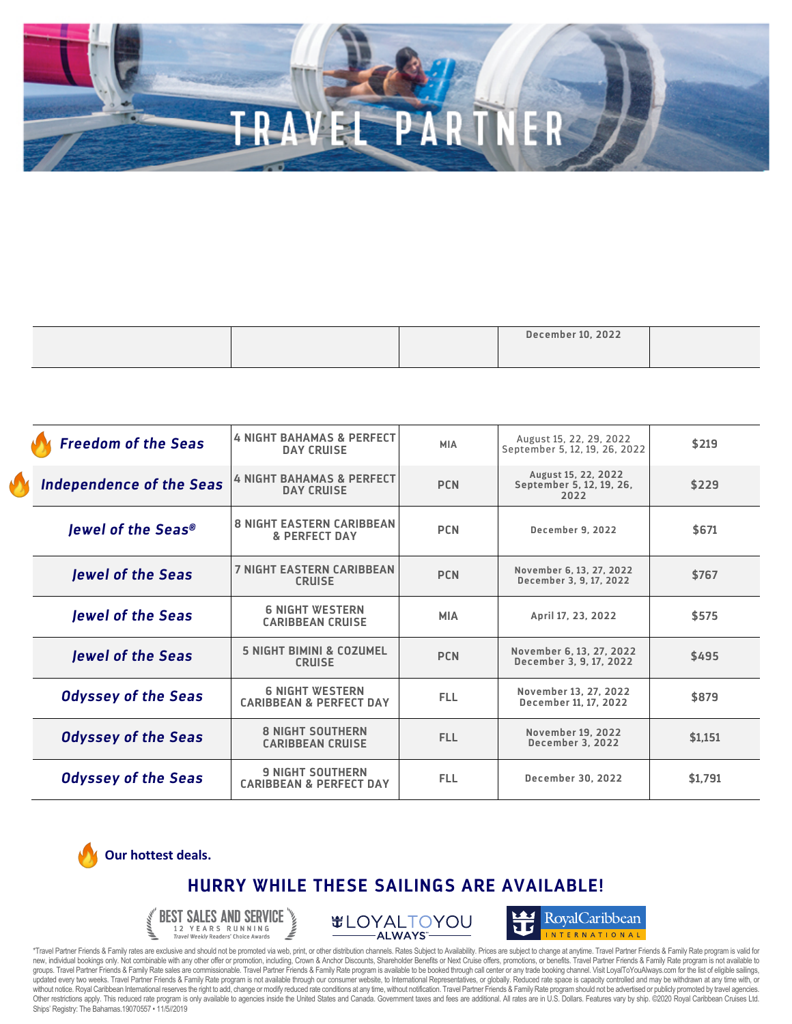|  | <b>December 10, 2022</b> |  |
|--|--------------------------|--|
|  |                          |  |

| <b>Freedom of the Seas</b>      | <b>4 NIGHT BAHAMAS &amp; PERFECT</b><br><b>DAY CRUISE</b>     | <b>MIA</b> | August 15, 22, 29, 2022<br>September 5, 12, 19, 26, 2022 | \$219   |
|---------------------------------|---------------------------------------------------------------|------------|----------------------------------------------------------|---------|
| <b>Independence of the Seas</b> | <b>4 NIGHT BAHAMAS &amp; PERFECT</b><br><b>DAY CRUISE</b>     | <b>PCN</b> | August 15, 22, 2022<br>September 5, 12, 19, 26,<br>2022  | \$229   |
| lewel of the Seas®              | <b>8 NIGHT EASTERN CARIBBEAN</b><br><b>&amp; PERFECT DAY</b>  | <b>PCN</b> | <b>December 9, 2022</b>                                  | \$671   |
| <b>Jewel of the Seas</b>        | <b>7 NIGHT EASTERN CARIBBEAN</b><br><b>CRUISE</b>             | <b>PCN</b> | November 6, 13, 27, 2022<br>December 3, 9, 17, 2022      | \$767   |
| <b>Jewel of the Seas</b>        | <b>6 NIGHT WESTERN</b><br><b>CARIBBEAN CRUISE</b>             | <b>MIA</b> | April 17, 23, 2022                                       | \$575   |
| <b>Jewel of the Seas</b>        | <b>5 NIGHT BIMINI &amp; COZUMEL</b><br><b>CRUISE</b>          | <b>PCN</b> | November 6, 13, 27, 2022<br>December 3, 9, 17, 2022      | \$495   |
| <b>Odyssey of the Seas</b>      | <b>6 NIGHT WESTERN</b><br><b>CARIBBEAN &amp; PERFECT DAY</b>  | <b>FLL</b> | November 13, 27, 2022<br>December 11, 17, 2022           | \$879   |
| <b>Odyssey of the Seas</b>      | <b>8 NIGHT SOUTHERN</b><br><b>CARIBBEAN CRUISE</b>            | <b>FLL</b> | <b>November 19, 2022</b><br><b>December 3, 2022</b>      | \$1,151 |
| <b>Odyssey of the Seas</b>      | <b>9 NIGHT SOUTHERN</b><br><b>CARIBBEAN &amp; PERFECT DAY</b> | <b>FLL</b> | <b>December 30, 2022</b>                                 | \$1.791 |



## **HURRY WHILE THESE SAILINGS ARE AVAILABLE!**



**#LOYALTOYOU** ALWAYS-



\*Travel Partner Friends & Family rates are exclusive and should not be promoted via web, print, or other distribution channels. Rates Subject to Availability. Prices are subject to change at anytime. Travel Partner Friends updated every two weeks. Travel Partner Friends & Family Rate program is not available through our consumer website, to International Representatives, or globally. Reduced rate space is capacity controlled and may be withd without notice. Royal Caribbean International reserves the right to add, change or modify reduced rate conditions at any time, without notification. Travel Partner Friends & Family Rate program should not be advertised or